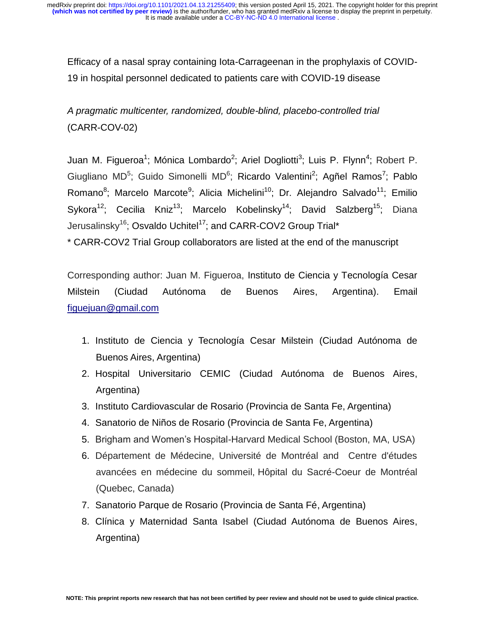Efficacy of a nasal spray containing Iota-Carrageenan in the prophylaxis of COVID-19 in hospital personnel dedicated to patients care with COVID-19 disease

*A pragmatic multicenter, randomized, double-blind, placebo-controlled trial*  (CARR-COV-02)

Juan M. Figueroa<sup>1</sup>; Mónica Lombardo<sup>2</sup>; Ariel Dogliotti<sup>3</sup>; Luis P. Flynn<sup>4</sup>; Robert P. Giugliano MD<sup>5</sup>; Guido Simonelli MD<sup>6</sup>; Ricardo Valentini<sup>2</sup>; Agñel Ramos<sup>7</sup>; Pablo Romano<sup>8</sup>; Marcelo Marcote<sup>9</sup>; Alicia Michelini<sup>10</sup>; Dr. Alejandro Salvado<sup>11</sup>; Emilio Sykora<sup>12</sup>; Cecilia Kniz<sup>13</sup>; Marcelo Kobelinsky<sup>14</sup>; David Salzberg<sup>15</sup>; Diana Jerusalinsky<sup>16</sup>; Osvaldo Uchitel<sup>17</sup>; and CARR-COV2 Group Trial\*

\* CARR-COV2 Trial Group collaborators are listed at the end of the manuscript

Corresponding author: Juan M. Figueroa, Instituto de Ciencia y Tecnología Cesar Milstein (Ciudad Autónoma de Buenos Aires, Argentina). Email [figuejuan@gmail.com](mailto:figuejuan@gmail.com)

- 1. Instituto de Ciencia y Tecnología Cesar Milstein (Ciudad Autónoma de Buenos Aires, Argentina)
- 2. Hospital Universitario CEMIC (Ciudad Autónoma de Buenos Aires, Argentina)
- 3. Instituto Cardiovascular de Rosario (Provincia de Santa Fe, Argentina)
- 4. Sanatorio de Niños de Rosario (Provincia de Santa Fe, Argentina)
- 5. Brigham and Women's Hospital-Harvard Medical School (Boston, MA, USA)
- 6. Département de Médecine, Université de Montréal and Centre d'études avancées en médecine du sommeil, Hôpital du Sacré-Coeur de Montréal (Quebec, Canada)
- 7. Sanatorio Parque de Rosario (Provincia de Santa Fé, Argentina)
- 8. Clínica y Maternidad Santa Isabel (Ciudad Autónoma de Buenos Aires, Argentina)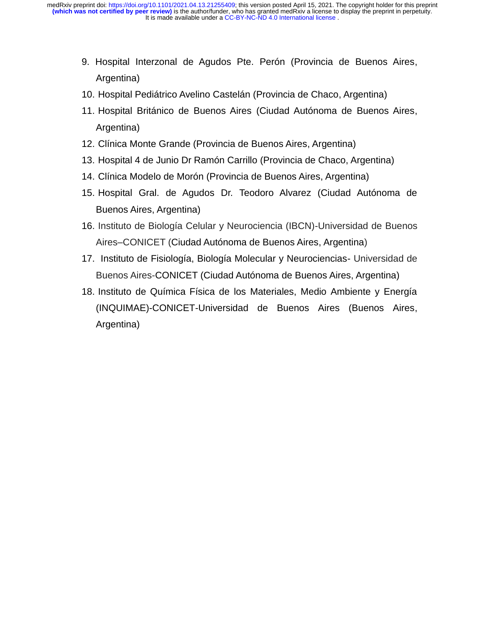- 9. Hospital Interzonal de Agudos Pte. Perón (Provincia de Buenos Aires, Argentina)
- 10. Hospital Pediátrico Avelino Castelán (Provincia de Chaco, Argentina)
- 11. Hospital Británico de Buenos Aires (Ciudad Autónoma de Buenos Aires, Argentina)
- 12. Clínica Monte Grande (Provincia de Buenos Aires, Argentina)
- 13. Hospital 4 de Junio Dr Ramón Carrillo (Provincia de Chaco, Argentina)
- 14. Clínica Modelo de Morón (Provincia de Buenos Aires, Argentina)
- 15. Hospital Gral. de Agudos Dr. Teodoro Alvarez (Ciudad Autónoma de Buenos Aires, Argentina)
- 16. Instituto de Biología Celular y Neurociencia (IBCN)-Universidad de Buenos Aires–CONICET (Ciudad Autónoma de Buenos Aires, Argentina)
- 17. Instituto de Fisiología, Biología Molecular y Neurociencias- Universidad de Buenos Aires-CONICET (Ciudad Autónoma de Buenos Aires, Argentina)
- 18. Instituto de Química Física de los Materiales, Medio Ambiente y Energía (INQUIMAE)-CONICET-Universidad de Buenos Aires (Buenos Aires, Argentina)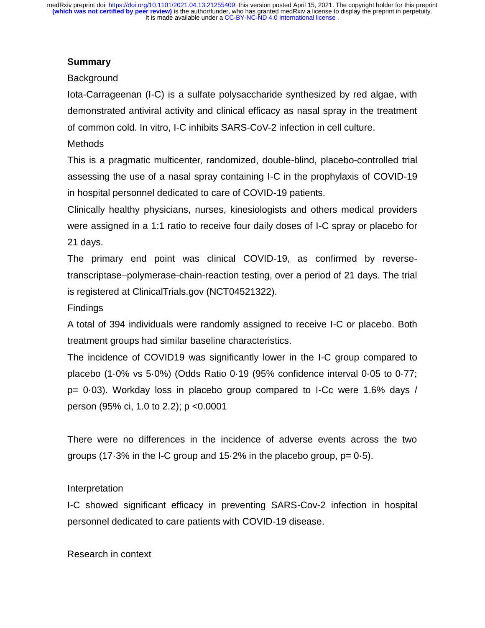# **Summary**

# Background

Iota-Carrageenan (I-C) is a sulfate polysaccharide synthesized by red algae, with demonstrated antiviral activity and clinical efficacy as nasal spray in the treatment of common cold. In vitro, I-C inhibits SARS-CoV-2 infection in cell culture.

# **Methods**

This is a pragmatic multicenter, randomized, double-blind, placebo-controlled trial assessing the use of a nasal spray containing I-C in the prophylaxis of COVID-19 in hospital personnel dedicated to care of COVID-19 patients.

Clinically healthy physicians, nurses, kinesiologists and others medical providers were assigned in a 1:1 ratio to receive four daily doses of I-C spray or placebo for 21 days.

The primary end point was clinical COVID-19, as confirmed by reversetranscriptase–polymerase-chain-reaction testing, over a period of 21 days. The trial is registered at ClinicalTrials.gov (NCT04521322).

# **Findings**

A total of 394 individuals were randomly assigned to receive I-C or placebo. Both treatment groups had similar baseline characteristics.

The incidence of COVID19 was significantly lower in the I-C group compared to placebo (1·0% vs 5·0%) (Odds Ratio 0·19 (95% confidence interval 0·05 to 0·77; p= 0·03). Workday loss in placebo group compared to I-Cc were 1.6% days / person (95% ci, 1.0 to 2.2); p <0.0001

There were no differences in the incidence of adverse events across the two groups (17 $-3\%$  in the I-C group and 15 $-2\%$  in the placebo group, p= 0 $-5$ ).

# Interpretation

I-C showed significant efficacy in preventing SARS-Cov-2 infection in hospital personnel dedicated to care patients with COVID-19 disease.

Research in context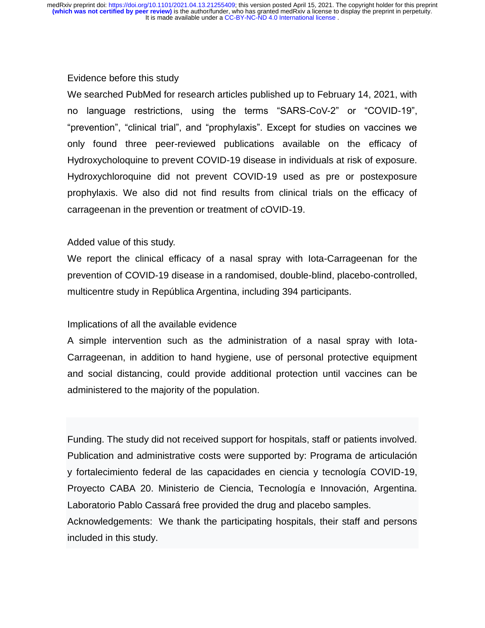#### Evidence before this study

We searched PubMed for research articles published up to February 14, 2021, with no language restrictions, using the terms "SARS-CoV-2" or "COVID-19", "prevention", "clinical trial", and "prophylaxis". Except for studies on vaccines we only found three peer-reviewed publications available on the efficacy of Hydroxycholoquine to prevent COVID-19 disease in individuals at risk of exposure. Hydroxychloroquine did not prevent COVID-19 used as pre or postexposure prophylaxis. We also did not find results from clinical trials on the efficacy of carrageenan in the prevention or treatment of cOVID-19.

#### Added value of this study.

We report the clinical efficacy of a nasal spray with Iota-Carrageenan for the prevention of COVID-19 disease in a randomised, double-blind, placebo-controlled, multicentre study in República Argentina, including 394 participants.

#### Implications of all the available evidence

A simple intervention such as the administration of a nasal spray with Iota-Carrageenan, in addition to hand hygiene, use of personal protective equipment and social distancing, could provide additional protection until vaccines can be administered to the majority of the population.

Funding. The study did not received support for hospitals, staff or patients involved. Publication and administrative costs were supported by: Programa de articulación y fortalecimiento federal de las capacidades en ciencia y tecnología COVID-19, Proyecto CABA 20. Ministerio de Ciencia, Tecnología e Innovación, Argentina. Laboratorio Pablo Cassará free provided the drug and placebo samples. Acknowledgements: We thank the participating hospitals, their staff and persons included in this study.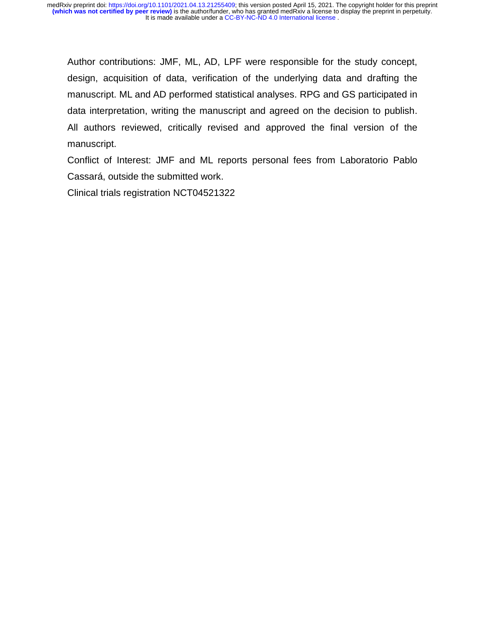Author contributions: JMF, ML, AD, LPF were responsible for the study concept, design, acquisition of data, verification of the underlying data and drafting the manuscript. ML and AD performed statistical analyses. RPG and GS participated in data interpretation, writing the manuscript and agreed on the decision to publish. All authors reviewed, critically revised and approved the final version of the manuscript.

Conflict of Interest: JMF and ML reports personal fees from Laboratorio Pablo Cassará, outside the submitted work.

Clinical trials registration NCT04521322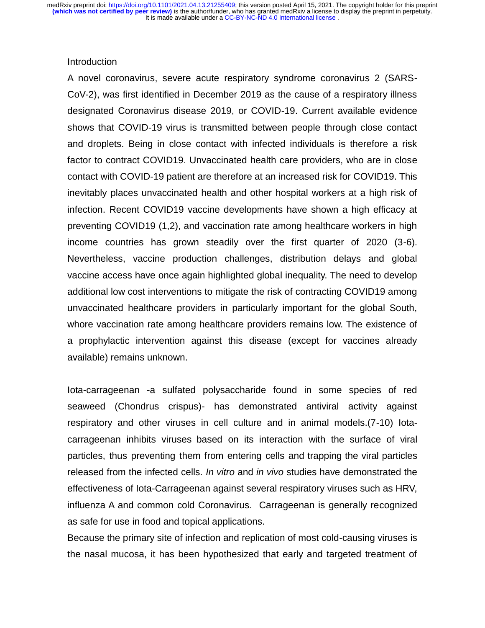#### Introduction

A novel coronavirus, severe acute respiratory syndrome coronavirus 2 (SARS-CoV-2), was first identified in December 2019 as the cause of a respiratory illness designated Coronavirus disease 2019, or COVID-19. Current available evidence shows that COVID-19 virus is transmitted between people through close contact and droplets. Being in close contact with infected individuals is therefore a risk factor to contract COVID19. Unvaccinated health care providers, who are in close contact with COVID-19 patient are therefore at an increased risk for COVID19. This inevitably places unvaccinated health and other hospital workers at a high risk of infection. Recent COVID19 vaccine developments have shown a high efficacy at preventing COVID19 (1,2), and vaccination rate among healthcare workers in high income countries has grown steadily over the first quarter of 2020 (3-6). Nevertheless, vaccine production challenges, distribution delays and global vaccine access have once again highlighted global inequality. The need to develop additional low cost interventions to mitigate the risk of contracting COVID19 among unvaccinated healthcare providers in particularly important for the global South, whore vaccination rate among healthcare providers remains low. The existence of a prophylactic intervention against this disease (except for vaccines already available) remains unknown.

Iota-carrageenan -a sulfated polysaccharide found in some species of red seaweed (Chondrus crispus)- has demonstrated antiviral activity against respiratory and other viruses in cell culture and in animal models.(7-10) Iotacarrageenan inhibits viruses based on its interaction with the surface of viral particles, thus preventing them from entering cells and trapping the viral particles released from the infected cells. *In vitro* and *in vivo* studies have demonstrated the effectiveness of Iota-Carrageenan against several respiratory viruses such as HRV, influenza A and common cold Coronavirus. Carrageenan is generally recognized as safe for use in food and topical applications.

Because the primary site of infection and replication of most cold-causing viruses is the nasal mucosa, it has been hypothesized that early and targeted treatment of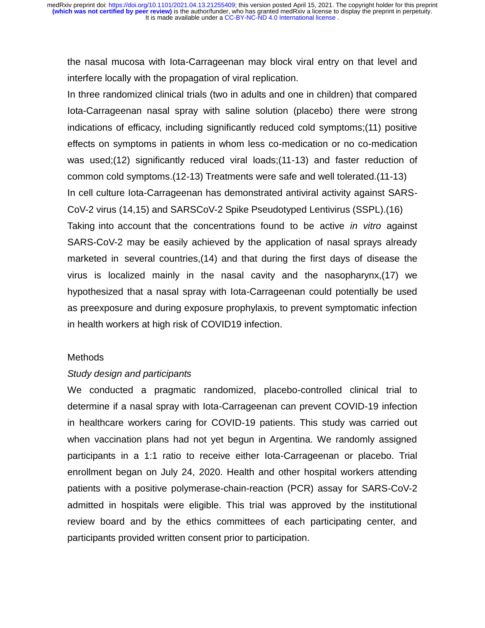the nasal mucosa with Iota-Carrageenan may block viral entry on that level and interfere locally with the propagation of viral replication.

In three randomized clinical trials (two in adults and one in children) that compared Iota-Carrageenan nasal spray with saline solution (placebo) there were strong indications of efficacy, including significantly reduced cold symptoms;(11) positive effects on symptoms in patients in whom less co-medication or no co-medication was used;(12) significantly reduced viral loads;(11-13) and faster reduction of common cold symptoms.(12-13) Treatments were safe and well tolerated.(11-13) In cell culture Iota-Carrageenan has demonstrated antiviral activity against SARS-CoV-2 virus (14,15) and SARSCoV-2 Spike Pseudotyped Lentivirus (SSPL).(16) Taking into account that the concentrations found to be active *in vitro* against SARS-CoV-2 may be easily achieved by the application of nasal sprays already marketed in several countries,(14) and that during the first days of disease the virus is localized mainly in the nasal cavity and the nasopharynx,(17) we hypothesized that a nasal spray with Iota-Carrageenan could potentially be used as preexposure and during exposure prophylaxis, to prevent symptomatic infection in health workers at high risk of COVID19 infection.

### **Methods**

#### *Study design and participants*

We conducted a pragmatic randomized, placebo-controlled clinical trial to determine if a nasal spray with Iota-Carrageenan can prevent COVID-19 infection in healthcare workers caring for COVID-19 patients. This study was carried out when vaccination plans had not yet begun in Argentina. We randomly assigned participants in a 1:1 ratio to receive either Iota-Carrageenan or placebo. Trial enrollment began on July 24, 2020. Health and other hospital workers attending patients with a positive polymerase-chain-reaction (PCR) assay for SARS-CoV-2 admitted in hospitals were eligible. This trial was approved by the institutional review board and by the ethics committees of each participating center, and participants provided written consent prior to participation.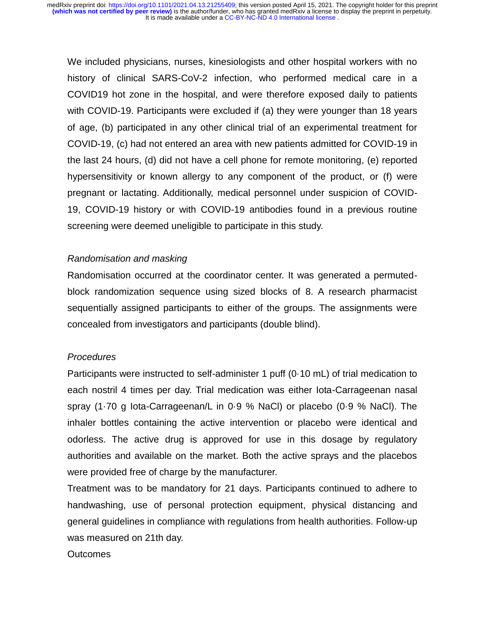We included physicians, nurses, kinesiologists and other hospital workers with no history of clinical SARS-CoV-2 infection, who performed medical care in a COVID19 hot zone in the hospital, and were therefore exposed daily to patients with COVID-19. Participants were excluded if (a) they were younger than 18 years of age, (b) participated in any other clinical trial of an experimental treatment for COVID-19, (c) had not entered an area with new patients admitted for COVID-19 in the last 24 hours, (d) did not have a cell phone for remote monitoring, (e) reported hypersensitivity or known allergy to any component of the product, or (f) were pregnant or lactating. Additionally, medical personnel under suspicion of COVID-19, COVID-19 history or with COVID-19 antibodies found in a previous routine screening were deemed uneligible to participate in this study.

# *Randomisation and masking*

Randomisation occurred at the coordinator center. It was generated a permutedblock randomization sequence using sized blocks of 8. A research pharmacist sequentially assigned participants to either of the groups. The assignments were concealed from investigators and participants (double blind).

#### *Procedures*

Participants were instructed to self-administer 1 puff (0·10 mL) of trial medication to each nostril 4 times per day. Trial medication was either Iota-Carrageenan nasal spray (1·70 g Iota-Carrageenan/L in 0·9 % NaCl) or placebo (0·9 % NaCl). The inhaler bottles containing the active intervention or placebo were identical and odorless. The active drug is approved for use in this dosage by regulatory authorities and available on the market. Both the active sprays and the placebos were provided free of charge by the manufacturer.

Treatment was to be mandatory for 21 days. Participants continued to adhere to handwashing, use of personal protection equipment, physical distancing and general guidelines in compliance with regulations from health authorities. Follow-up was measured on 21th day.

Outcomes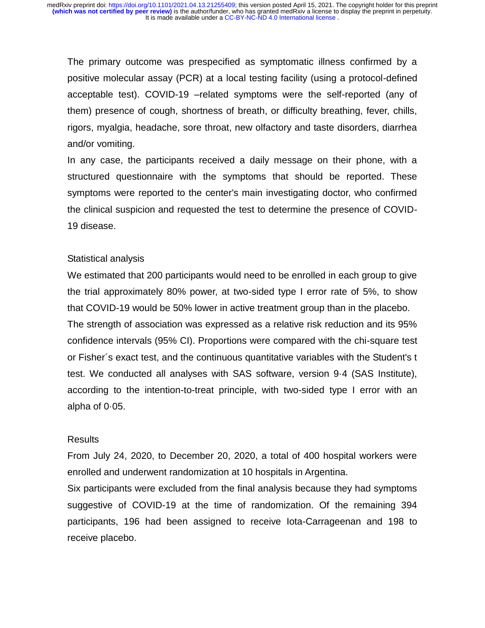The primary outcome was prespecified as symptomatic illness confirmed by a positive molecular assay (PCR) at a local testing facility (using a protocol-defined acceptable test). COVID-19 –related symptoms were the self-reported (any of them) presence of cough, shortness of breath, or difficulty breathing, fever, chills, rigors, myalgia, headache, sore throat, new olfactory and taste disorders, diarrhea and/or vomiting.

In any case, the participants received a daily message on their phone, with a structured questionnaire with the symptoms that should be reported. These symptoms were reported to the center's main investigating doctor, who confirmed the clinical suspicion and requested the test to determine the presence of COVID-19 disease.

### Statistical analysis

We estimated that 200 participants would need to be enrolled in each group to give the trial approximately 80% power, at two-sided type I error rate of 5%, to show that COVID-19 would be 50% lower in active treatment group than in the placebo. The strength of association was expressed as a relative risk reduction and its 95% confidence intervals (95% CI). Proportions were compared with the chi-square test or Fisher´s exact test, and the continuous quantitative variables with the Student's t test. We conducted all analyses with SAS software, version 9·4 (SAS Institute), according to the intention-to-treat principle, with two-sided type I error with an alpha of 0·05.

#### Results

From July 24, 2020, to December 20, 2020, a total of 400 hospital workers were enrolled and underwent randomization at 10 hospitals in Argentina.

Six participants were excluded from the final analysis because they had symptoms suggestive of COVID-19 at the time of randomization. Of the remaining 394 participants, 196 had been assigned to receive Iota-Carrageenan and 198 to receive placebo.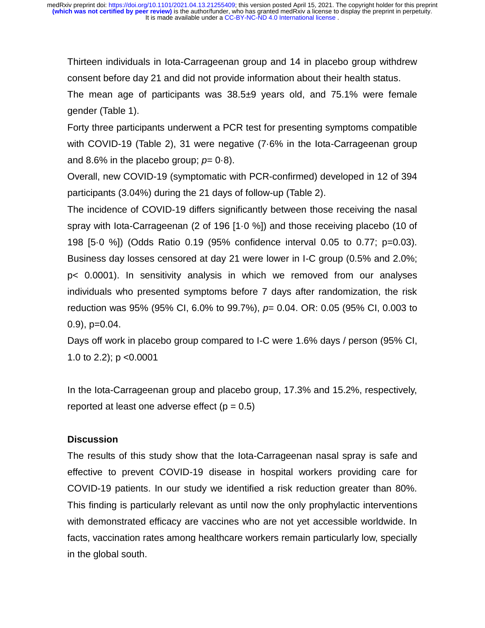Thirteen individuals in Iota-Carrageenan group and 14 in placebo group withdrew consent before day 21 and did not provide information about their health status.

The mean age of participants was 38.5±9 years old, and 75.1% were female gender (Table 1).

Forty three participants underwent a PCR test for presenting symptoms compatible with COVID-19 (Table 2), 31 were negative (7·6% in the Iota-Carrageenan group and 8.6% in the placebo group;  $p=0.8$ ).

Overall, new COVID-19 (symptomatic with PCR-confirmed) developed in 12 of 394 participants (3.04%) during the 21 days of follow-up (Table 2).

The incidence of COVID-19 differs significantly between those receiving the nasal spray with Iota-Carrageenan (2 of 196 [1·0 %]) and those receiving placebo (10 of 198 [5·0 %]) (Odds Ratio 0.19 (95% confidence interval 0.05 to 0.77; p=0.03). Business day losses censored at day 21 were lower in I-C group (0.5% and 2.0%; p< 0.0001). In sensitivity analysis in which we removed from our analyses individuals who presented symptoms before 7 days after randomization, the risk reduction was 95% (95% CI, 6.0% to 99.7%), *p*= 0.04. OR: 0.05 (95% CI, 0.003 to  $(0.9)$ ,  $p=0.04$ .

Days off work in placebo group compared to I-C were 1.6% days / person (95% CI, 1.0 to 2.2); p <0.0001

In the Iota-Carrageenan group and placebo group, 17.3% and 15.2%, respectively, reported at least one adverse effect  $(p = 0.5)$ 

# **Discussion**

The results of this study show that the Iota-Carrageenan nasal spray is safe and effective to prevent COVID-19 disease in hospital workers providing care for COVID-19 patients. In our study we identified a risk reduction greater than 80%. This finding is particularly relevant as until now the only prophylactic interventions with demonstrated efficacy are vaccines who are not yet accessible worldwide. In facts, vaccination rates among healthcare workers remain particularly low, specially in the global south.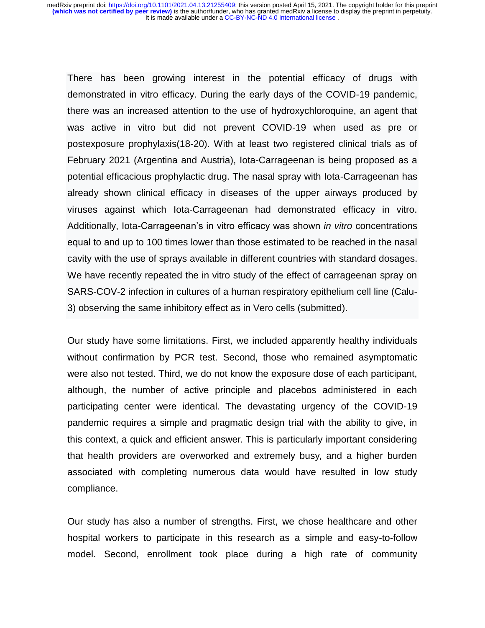There has been growing interest in the potential efficacy of drugs with demonstrated in vitro efficacy. During the early days of the COVID-19 pandemic, there was an increased attention to the use of hydroxychloroquine, an agent that was active in vitro but did not prevent COVID-19 when used as pre or postexposure prophylaxis(18-20). With at least two registered clinical trials as of February 2021 (Argentina and Austria), Iota-Carrageenan is being proposed as a potential efficacious prophylactic drug. The nasal spray with Iota-Carrageenan has already shown clinical efficacy in diseases of the upper airways produced by viruses against which Iota-Carrageenan had demonstrated efficacy in vitro. Additionally, Iota-Carrageenan's in vitro efficacy was shown *in vitro* concentrations equal to and up to 100 times lower than those estimated to be reached in the nasal cavity with the use of sprays available in different countries with standard dosages. We have recently repeated the in vitro study of the effect of carrageenan spray on SARS-COV-2 infection in cultures of a human respiratory epithelium cell line (Calu-3) observing the same inhibitory effect as in Vero cells (submitted).

Our study have some limitations. First, we included apparently healthy individuals without confirmation by PCR test. Second, those who remained asymptomatic were also not tested. Third, we do not know the exposure dose of each participant, although, the number of active principle and placebos administered in each participating center were identical. The devastating urgency of the COVID-19 pandemic requires a simple and pragmatic design trial with the ability to give, in this context, a quick and efficient answer. This is particularly important considering that health providers are overworked and extremely busy, and a higher burden associated with completing numerous data would have resulted in low study compliance.

Our study has also a number of strengths. First, we chose healthcare and other hospital workers to participate in this research as a simple and easy-to-follow model. Second, enrollment took place during a high rate of community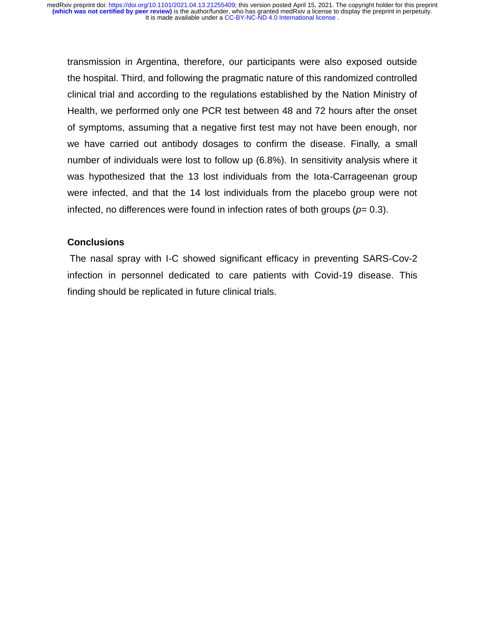transmission in Argentina, therefore, our participants were also exposed outside the hospital. Third, and following the pragmatic nature of this randomized controlled clinical trial and according to the regulations established by the Nation Ministry of Health, we performed only one PCR test between 48 and 72 hours after the onset of symptoms, assuming that a negative first test may not have been enough, nor we have carried out antibody dosages to confirm the disease. Finally, a small number of individuals were lost to follow up (6.8%). In sensitivity analysis where it was hypothesized that the 13 lost individuals from the Iota-Carrageenan group were infected, and that the 14 lost individuals from the placebo group were not infected, no differences were found in infection rates of both groups ( $p= 0.3$ ).

# **Conclusions**

The nasal spray with I-C showed significant efficacy in preventing SARS-Cov-2 infection in personnel dedicated to care patients with Covid-19 disease. This finding should be replicated in future clinical trials.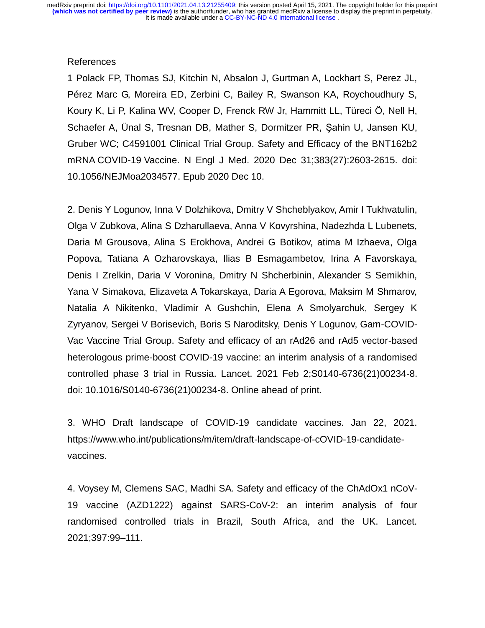#### References

1 Polack FP, Thomas SJ, Kitchin N, Absalon J, Gurtman A, Lockhart S, Perez JL, Pérez Marc G, Moreira ED, Zerbini C, Bailey R, Swanson KA, Roychoudhury S, Koury K, Li P, Kalina WV, Cooper D, Frenck RW Jr, Hammitt LL, Türeci Ö, Nell H, Schaefer A, Ünal S, Tresnan DB, Mather S, Dormitzer PR, Şahin U, Jansen KU, Gruber WC; C4591001 Clinical Trial Group. Safety and Efficacy of the BNT162b2 mRNA COVID-19 Vaccine. N Engl J Med. 2020 Dec 31;383(27):2603-2615. doi: 10.1056/NEJMoa2034577. Epub 2020 Dec 10.

2. Denis Y Logunov, Inna V Dolzhikova, Dmitry V Shcheblyakov, Amir I Tukhvatulin, Olga V Zubkova, Alina S Dzharullaeva, Anna V Kovyrshina, Nadezhda L Lubenets, Daria M Grousova, Alina S Erokhova, Andrei G Botikov, atima M Izhaeva, Olga Popova, Tatiana A Ozharovskaya, Ilias B Esmagambetov, Irina A Favorskaya, Denis I Zrelkin, Daria V Voronina, Dmitry N Shcherbinin, Alexander S Semikhin, Yana V Simakova, Elizaveta A Tokarskaya, Daria A Egorova, Maksim M Shmarov, Natalia A Nikitenko, Vladimir A Gushchin, Elena A Smolyarchuk, Sergey K Zyryanov, Sergei V Borisevich, Boris S Naroditsky, Denis Y Logunov, Gam-COVID-Vac Vaccine Trial Group. Safety and efficacy of an rAd26 and rAd5 vector-based heterologous prime-boost COVID-19 vaccine: an interim analysis of a randomised controlled phase 3 trial in Russia. Lancet. 2021 Feb 2;S0140-6736(21)00234-8. doi: 10.1016/S0140-6736(21)00234-8. Online ahead of print.

3. WHO Draft landscape of COVID-19 candidate vaccines. Jan 22, 2021. https://www.who.int/publications/m/item/draft-landscape-of-cOVID-19-candidatevaccines.

4. Voysey M, Clemens SAC, Madhi SA. Safety and efficacy of the ChAdOx1 nCoV-19 vaccine (AZD1222) against SARS-CoV-2: an interim analysis of four randomised controlled trials in Brazil, South Africa, and the UK. Lancet. 2021;397:99–111.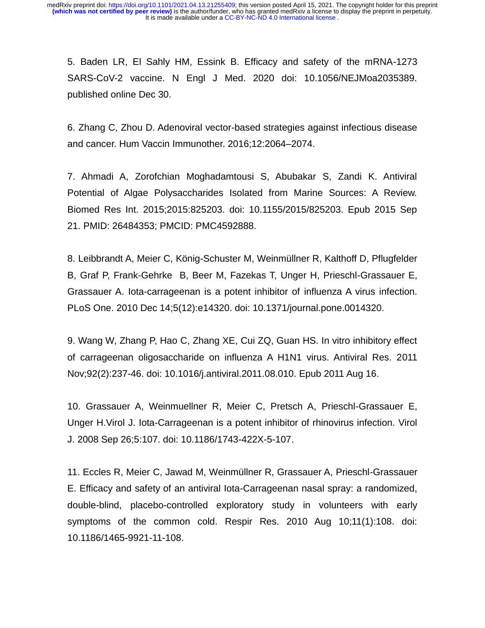5. Baden LR, El Sahly HM, Essink B. Efficacy and safety of the mRNA-1273 SARS-CoV-2 vaccine. N Engl J Med. 2020 doi: 10.1056/NEJMoa2035389. published online Dec 30.

6. Zhang C, Zhou D. Adenoviral vector-based strategies against infectious disease and cancer. Hum Vaccin Immunother. 2016;12:2064–2074.

7. Ahmadi A, Zorofchian Moghadamtousi S, Abubakar S, Zandi K. Antiviral Potential of Algae Polysaccharides Isolated from Marine Sources: A Review. Biomed Res Int. 2015;2015:825203. doi: 10.1155/2015/825203. Epub 2015 Sep 21. PMID: 26484353; PMCID: PMC4592888.

8. Leibbrandt A, Meier C, König-Schuster M, Weinmüllner R, Kalthoff D, Pflugfelder B, Graf P, Frank-Gehrke B, Beer M, Fazekas T, Unger H, Prieschl-Grassauer E, Grassauer A. Iota-carrageenan is a potent inhibitor of influenza A virus infection. PLoS One. 2010 Dec 14;5(12):e14320. doi: 10.1371/journal.pone.0014320.

9. Wang W, Zhang P, Hao C, Zhang XE, Cui ZQ, Guan HS. In vitro inhibitory effect of carrageenan oligosaccharide on influenza A H1N1 virus. Antiviral Res. 2011 Nov;92(2):237-46. doi: 10.1016/j.antiviral.2011.08.010. Epub 2011 Aug 16.

10. Grassauer A, Weinmuellner R, Meier C, Pretsch A, Prieschl-Grassauer E, Unger H.Virol J. Iota-Carrageenan is a potent inhibitor of rhinovirus infection. Virol J. 2008 Sep 26;5:107. doi: 10.1186/1743-422X-5-107.

11. Eccles R, Meier C, Jawad M, Weinmüllner R, Grassauer A, Prieschl-Grassauer E. Efficacy and safety of an antiviral Iota-Carrageenan nasal spray: a randomized, double-blind, placebo-controlled exploratory study in volunteers with early symptoms of the common cold. Respir Res. 2010 Aug 10;11(1):108. doi: 10.1186/1465-9921-11-108.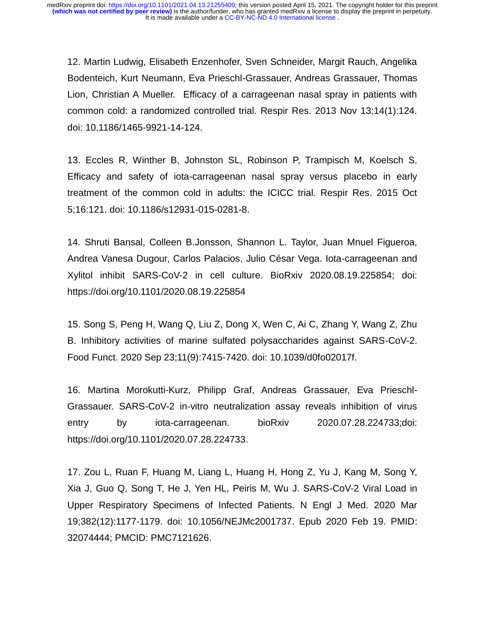12. Martin Ludwig, Elisabeth Enzenhofer, Sven Schneider, Margit Rauch, Angelika Bodenteich, Kurt Neumann, Eva Prieschl-Grassauer, Andreas Grassauer, Thomas Lion, Christian A Mueller. Efficacy of a carrageenan nasal spray in patients with common cold: a randomized controlled trial. Respir Res. 2013 Nov 13;14(1):124. doi: 10.1186/1465-9921-14-124.

13. Eccles R, Winther B, Johnston SL, Robinson P, Trampisch M, Koelsch S. Efficacy and safety of iota-carrageenan nasal spray versus placebo in early treatment of the common cold in adults: the ICICC trial. Respir Res. 2015 Oct 5;16:121. doi: 10.1186/s12931-015-0281-8.

14. Shruti Bansal, Colleen B.Jonsson, Shannon L. Taylor, Juan Mnuel Figueroa, Andrea Vanesa Dugour, Carlos Palacios, Julio César Vega. Iota-carrageenan and Xylitol inhibit SARS-CoV-2 in cell culture. BioRxiv 2020.08.19.225854; doi: https://doi.org/10.1101/2020.08.19.225854

15. Song S, Peng H, Wang Q, Liu Z, Dong X, Wen C, Ai C, Zhang Y, Wang Z, Zhu B. Inhibitory activities of marine sulfated polysaccharides against SARS-CoV-2. Food Funct. 2020 Sep 23;11(9):7415-7420. doi: 10.1039/d0fo02017f.

16. Martina Morokutti-Kurz, Philipp Graf, Andreas Grassauer, Eva Prieschl-Grassauer. SARS-CoV-2 in-vitro neutralization assay reveals inhibition of virus entry by iota-carrageenan. bioRxiv 2020.07.28.224733;doi: https://doi.org/10.1101/2020.07.28.224733.

17. Zou L, Ruan F, Huang M, Liang L, Huang H, Hong Z, Yu J, Kang M, Song Y, Xia J, Guo Q, Song T, He J, Yen HL, Peiris M, Wu J. SARS-CoV-2 Viral Load in Upper Respiratory Specimens of Infected Patients. N Engl J Med. 2020 Mar 19;382(12):1177-1179. doi: 10.1056/NEJMc2001737. Epub 2020 Feb 19. PMID: 32074444; PMCID: PMC7121626.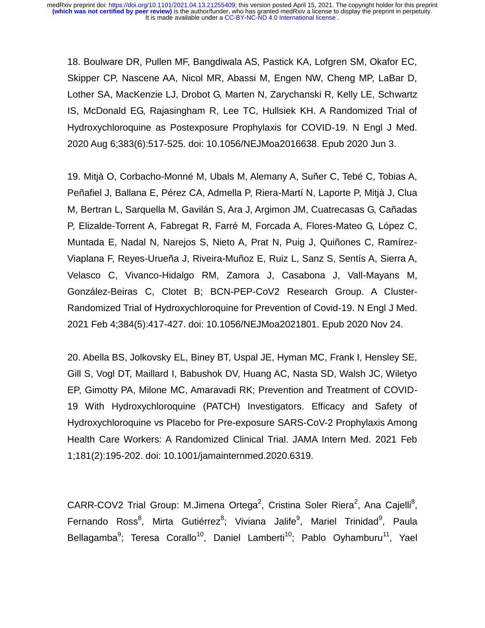18. Boulware DR, Pullen MF, Bangdiwala AS, Pastick KA, Lofgren SM, Okafor EC, Skipper CP, Nascene AA, Nicol MR, Abassi M, Engen NW, Cheng MP, LaBar D, Lother SA, MacKenzie LJ, Drobot G, Marten N, Zarychanski R, Kelly LE, Schwartz IS, McDonald EG, Rajasingham R, Lee TC, Hullsiek KH. A Randomized Trial of Hydroxychloroquine as Postexposure Prophylaxis for COVID-19. N Engl J Med. 2020 Aug 6;383(6):517-525. doi: 10.1056/NEJMoa2016638. Epub 2020 Jun 3.

19. Mitjà O, Corbacho-Monné M, Ubals M, Alemany A, Suñer C, Tebé C, Tobias A, Peñafiel J, Ballana E, Pérez CA, Admella P, Riera-Martí N, Laporte P, Mitjà J, Clua M, Bertran L, Sarquella M, Gavilán S, Ara J, Argimon JM, Cuatrecasas G, Cañadas P, Elizalde-Torrent A, Fabregat R, Farré M, Forcada A, Flores-Mateo G, López C, Muntada E, Nadal N, Narejos S, Nieto A, Prat N, Puig J, Quiñones C, Ramírez-Viaplana F, Reyes-Urueña J, Riveira-Muñoz E, Ruiz L, Sanz S, Sentís A, Sierra A, Velasco C, Vivanco-Hidalgo RM, Zamora J, Casabona J, Vall-Mayans M, González-Beiras C, Clotet B; BCN-PEP-CoV2 Research Group. A Cluster-Randomized Trial of Hydroxychloroquine for Prevention of Covid-19. N Engl J Med. 2021 Feb 4;384(5):417-427. doi: 10.1056/NEJMoa2021801. Epub 2020 Nov 24.

20. Abella BS, Jolkovsky EL, Biney BT, Uspal JE, Hyman MC, Frank I, Hensley SE, Gill S, Vogl DT, Maillard I, Babushok DV, Huang AC, Nasta SD, Walsh JC, Wiletyo EP, Gimotty PA, Milone MC, Amaravadi RK; Prevention and Treatment of COVID-19 With Hydroxychloroquine (PATCH) Investigators. Efficacy and Safety of Hydroxychloroquine vs Placebo for Pre-exposure SARS-CoV-2 Prophylaxis Among Health Care Workers: A Randomized Clinical Trial. JAMA Intern Med. 2021 Feb 1;181(2):195-202. doi: 10.1001/jamainternmed.2020.6319.

CARR-COV2 Trial Group: M.Jimena Ortega<sup>2</sup>, Cristina Soler Riera<sup>2</sup>, Ana Cajelli<sup>8</sup>, Fernando Ross<sup>8</sup>, Mirta Gutiérrez<sup>8</sup>; Viviana Jalife<sup>9</sup>, Mariel Trinidad<sup>9</sup>, Paula Bellagamba<sup>9</sup>; Teresa Corallo<sup>10</sup>, Daniel Lamberti<sup>10</sup>; Pablo Oyhamburu<sup>11</sup>, Yael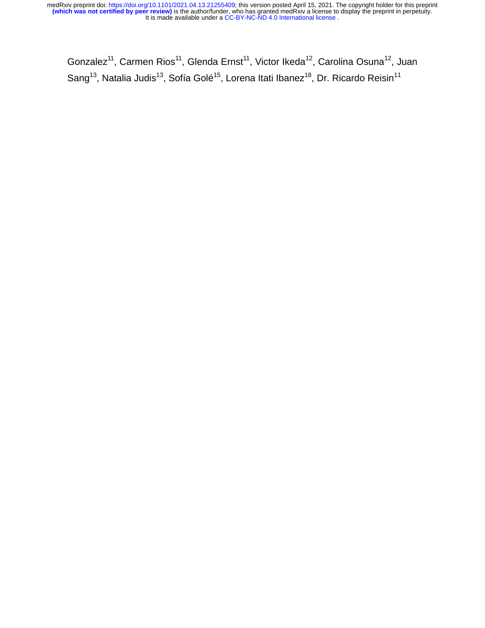Gonzalez<sup>11</sup>, Carmen Rios<sup>11</sup>, Glenda Ernst<sup>11</sup>, Victor Ikeda<sup>12</sup>, Carolina Osuna<sup>12</sup>, Juan Sang<sup>13</sup>, Natalia Judis<sup>13</sup>, Sofía Golé<sup>15</sup>, Lorena Itati Ibanez<sup>18</sup>, Dr. Ricardo Reisin<sup>11</sup>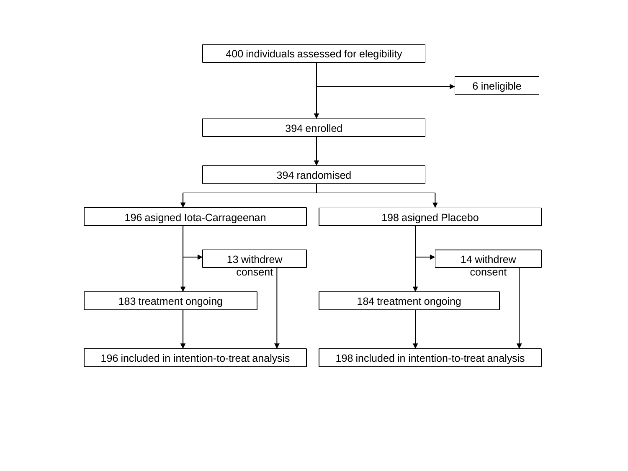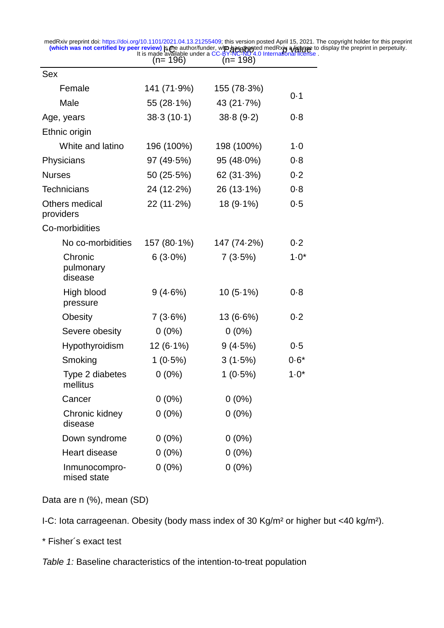Is Che  $(n=196)$ Pacebot  $(n= 198)$ **prints and provided in the set of the American of the available of the property of the property of the set of t<br>It is made available under a CC-BY-NC-ND 4.0 International license.** medRxiv preprint doi: [https://doi.org/10.1101/2021.04.13.21255409;](https://doi.org/10.1101/2021.04.13.21255409) this version posted April 15, 2021. The copyright holder for this preprint<br>Which was not certified by peer review) is the author/funder, who has pray and

| Sex                             |              |             |          |  |
|---------------------------------|--------------|-------------|----------|--|
| Female                          | 141 (71.9%)  | 155 (78.3%) | 0.1      |  |
| Male                            | 55 (28.1%)   | 43 (21.7%)  |          |  |
| Age, years                      | $38-3(10-1)$ | 38.8(9.2)   | 0.8      |  |
| Ethnic origin                   |              |             |          |  |
| White and latino                | 196 (100%)   | 198 (100%)  | $1 - 0$  |  |
| Physicians                      | 97 (49.5%)   | 95 (48.0%)  | 0.8      |  |
| <b>Nurses</b>                   | 50(25.5%)    | 62(31.3%)   |          |  |
| <b>Technicians</b>              | 24 (12-2%)   | 26 (13-1%)  | 0.8      |  |
| Others medical<br>providers     | $22(11.2\%)$ | 18 (9.1%)   | 0.5      |  |
| Co-morbidities                  |              |             |          |  |
| No co-morbidities               | 157 (80-1%)  | 147 (74.2%) | 0.2      |  |
| Chronic<br>pulmonary<br>disease | $6(3.0\%)$   | 7(3.5%)     | $1 - 0*$ |  |
| High blood<br>pressure          | 9(4.6%)      | $10(5.1\%)$ | 0.8      |  |
| Obesity                         | 7(3.6%)      | 13 (6.6%)   | 0.2      |  |
| Severe obesity                  | $0(0\%)$     | $0(0\%)$    |          |  |
| Hypothyroidism                  | $12(6.1\%)$  | 9(4.5%)     | 0.5      |  |
| Smoking                         | $1(0.5\%)$   | 3(1.5%)     | $0.6*$   |  |
| Type 2 diabetes<br>mellitus     | $0(0\%)$     | $1(0.5\%)$  | $1.0*$   |  |
| Cancer                          | $0(0\%)$     | $0(0\%)$    |          |  |
| Chronic kidney<br>disease       | $0(0\%)$     | $0(0\%)$    |          |  |
| Down syndrome                   | $0(0\%)$     | $0(0\%)$    |          |  |
| <b>Heart disease</b>            | $0(0\%)$     | $0(0\%)$    |          |  |
| Inmunocompro-<br>mised state    | $0(0\%)$     | $0(0\%)$    |          |  |

Data are n (%), mean (SD)

I-C: Iota carrageenan. Obesity (body mass index of 30 Kg/m² or higher but <40 kg/m²).

\* Fisher´s exact test

*Table 1:* Baseline characteristics of the intention-to-treat population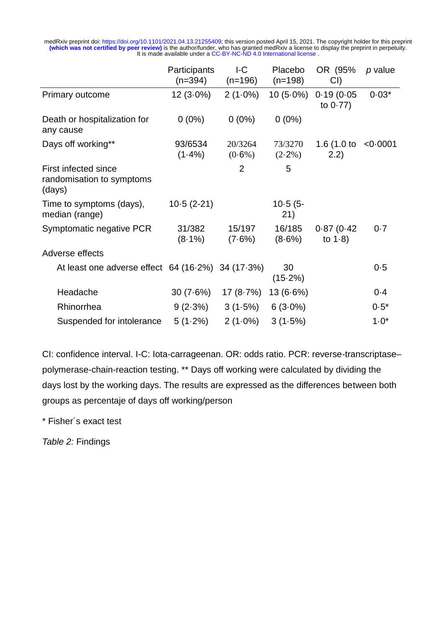|                                                             | Participants<br>(n=394) | IC<br>$(n=196)$      | Placebo<br>$(n=198)$ | OR (95%)<br>CI)           | p value  |
|-------------------------------------------------------------|-------------------------|----------------------|----------------------|---------------------------|----------|
| Primary outcome                                             | $12(3.0\%)$             | $2(1.0\%)$           | $10(5.0\%)$          | 0.19(0.05)<br>to $0.77$ ) | $0.03*$  |
| Death or hospitalization for<br>any cause                   | $0(0\%)$                | $0(0\%)$             | $0(0\%)$             |                           |          |
| Days off working**                                          | 93/6534<br>$(1.4\%)$    | 20/3264<br>$(0.6\%)$ | 73/3270<br>$(2-2\%)$ | 1.6 $(1.0 to$<br>(2.2)    | < 0.0001 |
| First infected since<br>randomisation to symptoms<br>(days) |                         | $\overline{2}$       | 5                    |                           |          |
| Time to symptoms (days),<br>median (range)                  | $10-5(2-21)$            |                      | $10-5(5-$<br>21)     |                           |          |
| Symptomatic negative PCR                                    | 31/382<br>$(8.1\%)$     | 15/197<br>$(7.6\%)$  | 16/185<br>$(8.6\%)$  | 0.87(0.42)<br>to $1-8$ )  | 0.7      |
| Adverse effects                                             |                         |                      |                      |                           |          |
| At least one adverse effect 64 (16.2%) 34 (17.3%)           |                         |                      | 30<br>(15.2%)        |                           | 0.5      |
| Headache                                                    | 30(7.6%)                | 17 (8-7%)            | $13(6.6\%)$          |                           | $0 - 4$  |
| Rhinorrhea                                                  | 9(2.3%)                 | 3(1.5%)              | $6(3.0\%)$           |                           | $0.5*$   |
| Suspended for intolerance                                   | $5(1.2\%)$              | $2(1.0\%)$           | 3(1.5%)              |                           | $1.0*$   |

CI: confidence interval. I-C: Iota-carrageenan. OR: odds ratio. PCR: reverse-transcriptase– polymerase-chain-reaction testing. \*\* Days off working were calculated by dividing the days lost by the working days. The results are expressed as the differences between both groups as percentaje of days off working/person

\* Fisher´s exact test

*Table 2:* Findings